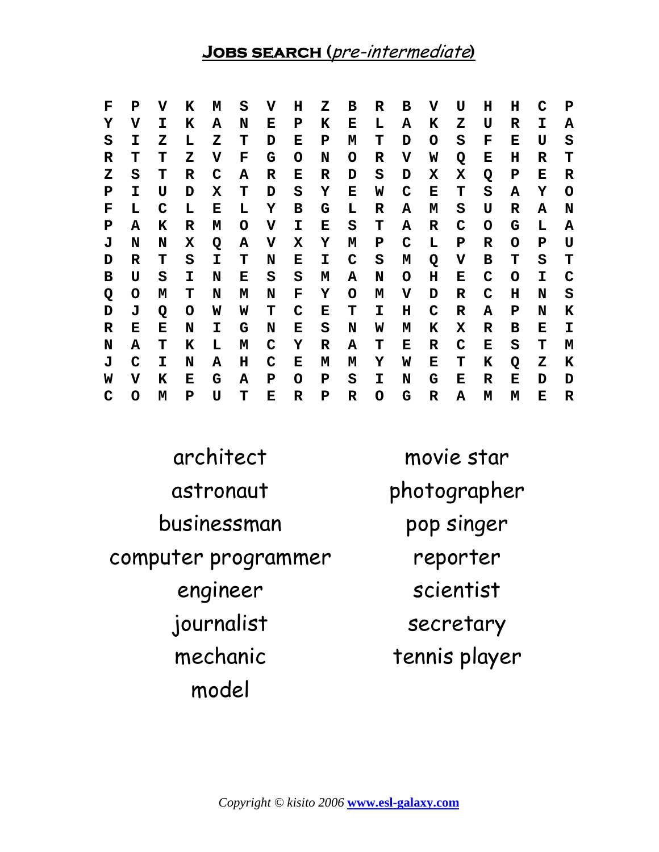## **Jobs search (**pre-intermediate**)**

| F | P | v | ĸ | M | S | v | н | z | в | R | в | v | ŢŢ | н | н | C  | P |
|---|---|---|---|---|---|---|---|---|---|---|---|---|----|---|---|----|---|
| Y | v | I | ĸ | Α | N | Е | P | K | Е | L | A | K | z  | U | R | I. | А |
| S | I | z | L | z | т | D | Е | P | М | т | D | O | S  | F | Е | U  | S |
| R | т | т | z | v | F | G | O | N | O | R | V | W | Q  | Е | н | R  | т |
| z | S | т | R | C | А | R | Е | R | D | S | D | х | Х  | Q | P | Е  | R |
| P | I | U | D | X | т | D | S | Y | Е | W | C | Е | т  | S | A | Y  | O |
| F | L | C | L | Е | L | Y | в | G | L | R | A | М | S  | U | R | А  | N |
| P | A | К | R | M | O | v | I | Е | S | т | A | R | C  | O | G | L  | А |
| J | N | N | X | Q | Α | V | Х | Y | М | P | C | L | P  | R | O | P  | U |
| D | R | т | S | I | т | N | Е | I | C | S | М | Q | v  | в | т | S  | т |
| в | U | S | I | N | Е | S | S | М | Α | N | O | н | Е  | C | O | I. | C |
| Q | O | M | т | N | м | N | F | Υ | O | М | v | D | R  | C | н | N  | S |
| D | J | Q | O | W | W | т | C | Е | т | I | н | C | R  | A | P | N  | K |
| R | Е | Е | N | I | G | N | Е | S | N | W | М | К | Х  | R | в | Е  | I |
| N | A | т | к | L | м | C | Y | R | Α | т | Е | R | C  | Е | S | т  | м |
| J | C | I | N | А | н | C | Е | м | м | Υ | W | Е | т  | K | Q | z  | K |
| W | v | K | Е | G | А | P | O | P | S | I | N | G | Е  | R | Е | D  | D |
| C | O | M | P | U | т | Е | R | P | R | O | G | R | A  | м | м | Е  | R |

architect movie star astronaut photographer businessman pop singer computer programmer reporter engineer scientist journalist secretary mechanic tennis player model